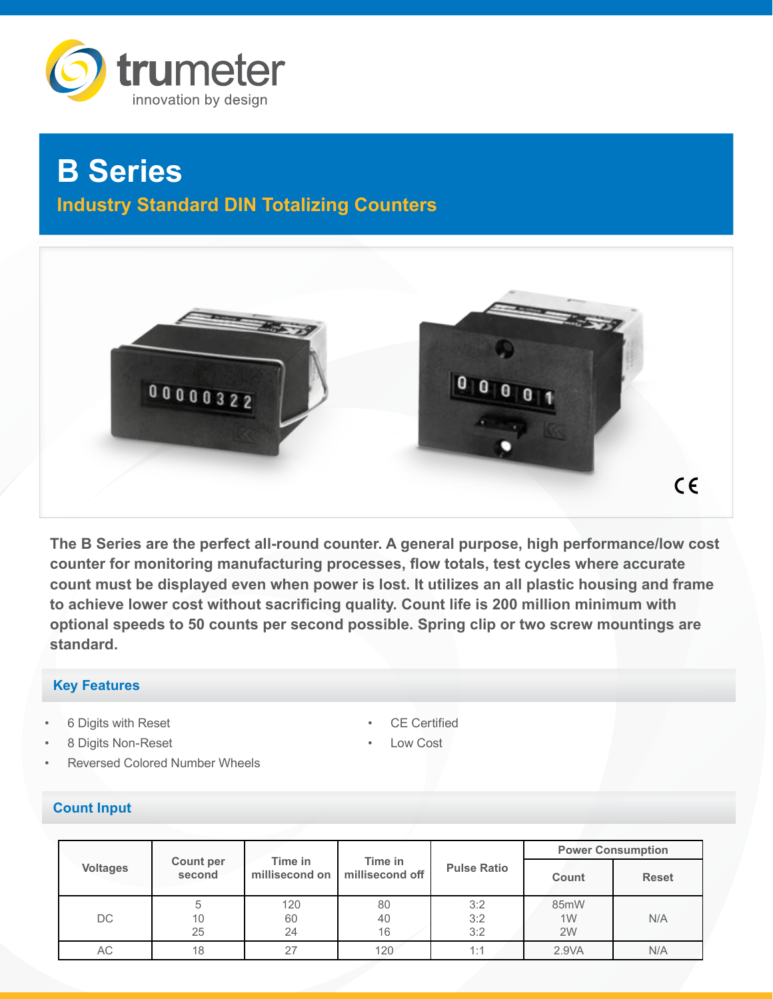

# **B Series Industry Standard DIN Totalizing Counters**



**The B Series are the perfect all-round counter. A general purpose, high performance/low cost counter for monitoring manufacturing processes, flow totals, test cycles where accurate count must be displayed even when power is lost. It utilizes an all plastic housing and frame to achieve lower cost without sacrificing quality. Count life is 200 million minimum with optional speeds to 50 counts per second possible. Spring clip or two screw mountings are standard.** 

## **Key Features**

- 6 Digits with Reset
- 8 Digits Non-Reset
- Reversed Colored Number Wheels

## **Count Input**

- **CE Certified**
- Low Cost

|                 | Count per<br>second | Time in<br>millisecond on | Time in<br>millisecond off |                    | <b>Power Consumption</b> |              |
|-----------------|---------------------|---------------------------|----------------------------|--------------------|--------------------------|--------------|
| <b>Voltages</b> |                     |                           |                            | <b>Pulse Ratio</b> | Count                    | <b>Reset</b> |
| DC.             | 10<br>25            | 120<br>60<br>24           | 80<br>40<br>16             | 3:2<br>3:2<br>3:2  | 85mW<br>1W<br>2W         | N/A          |
| АC              | 18                  | 27                        | 120                        | 1:1                | 2.9VA                    | N/A          |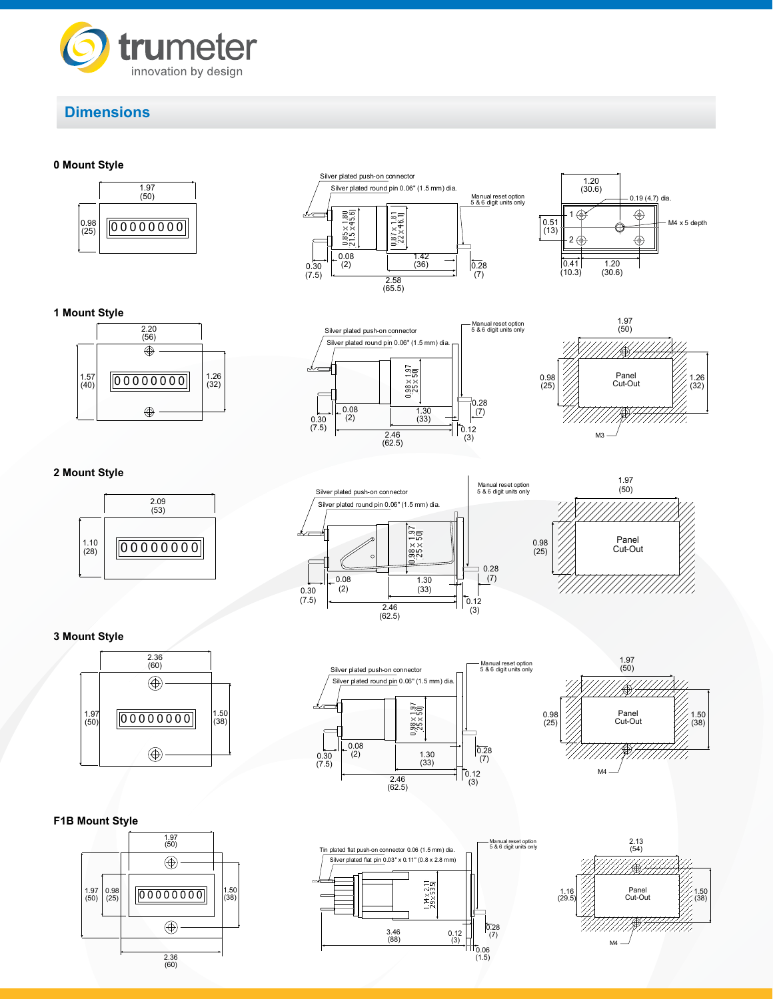

# **Dimensions**

#### **0 Mount Style**















## **2 Mount Style**







**3 Mount Style**



## **F1B Mount Style**